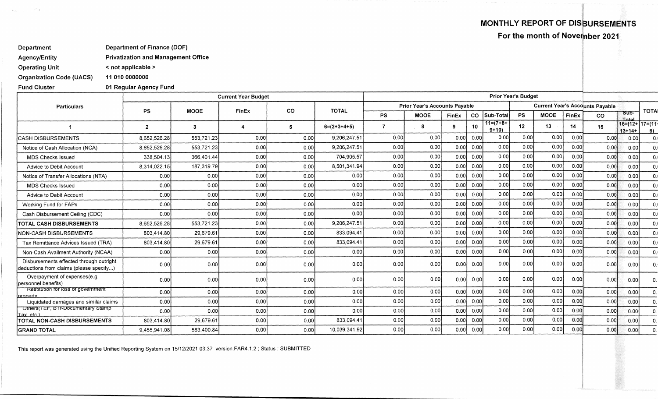**MONTHLY REPORT OF DISBURSEMENTS** 

**For the month of Novernber 2021** 

**Department Department of Finance (DOF)** 

**Agency/Entity Privatization and Management Office** 

**Operating Unit < not applicable >** 

**Organization Code (UACS) 11 010 0000000** 

**Fund Cluster** 

 $\sim 20\,h_{\rm B}$ 

 $\sim \nu_{\rm crit}$  .

**01 Regular Agency Fund** 

|                                                                                    |                | <b>Current Year Budget</b> | <b>Prior Year's Budget</b> |           |               |                                      |             |              |      |                                        |           |             |       |           |               |                       |
|------------------------------------------------------------------------------------|----------------|----------------------------|----------------------------|-----------|---------------|--------------------------------------|-------------|--------------|------|----------------------------------------|-----------|-------------|-------|-----------|---------------|-----------------------|
| <b>Particulars</b>                                                                 |                | <b>MOOE</b>                | FinEx                      | <b>CO</b> | <b>TOTAL</b>  | <b>Prior Year's Accounts Payable</b> |             |              |      | <b>Current Year's Accounts Payable</b> |           |             |       |           |               |                       |
|                                                                                    | <b>PS</b>      |                            |                            |           |               | <b>PS</b>                            | <b>MOOE</b> | <b>FinEx</b> | CO   | Sub-Tota                               | <b>PS</b> | <b>MOOE</b> | FinEx | <b>CO</b> | Sub-<br>Total | <b>TOTAL</b>          |
|                                                                                    | $\overline{2}$ | -3                         |                            | 5         | $6=(2+3+4+5)$ | $\overline{7}$                       | 8           | 9            | 10   | $11=(7+8+$<br>$9+10$                   | 12        | 13          | 14    | 15        | $13+14+$      | 16=(12+ 17=(11+<br>6) |
| <b>CASH DISBURSEMENTS</b>                                                          | 8,652,526.28   | 553,721.23                 | 0.00                       | 0.00      | 9,206,247.51  | 0.00                                 | 0.00        | 0.00         | 0.00 | 0.00                                   | 0.00      | 0.00        | 0.00  | 0.00      | 0.00          | 0.0                   |
| Notice of Cash Allocation (NCA)                                                    | 8.652.526.28   | 553.721.23                 | 0.00                       | 0.00      | 9,206,247.51  | 0.00                                 | 0.00        | 0.00         | 0.00 | 0.00                                   | 0.00      | 0.00        | 0.00  | 0.00      | 0.00          | 0.0                   |
| <b>MDS Checks Issued</b>                                                           | 338,504.13     | 366.401.44                 | 0.00                       | 0.00      | 704,905.57    | 0.00                                 | 0.00        | 0.00         | 0.00 | 0.00                                   | 0.00      | 0.00        | 0.00  | 0.00      | 0.00          | 0.0                   |
| Advice to Debit Account                                                            | 8,314,022.15   | 187,319.79                 | 0.00                       | 0.00      | 8.501.341.94  | 0.00                                 | 0.00        | 0.00         | 0.00 | 0.00                                   | 0.00      | 0.00        | 0.00  | 0.00      | 0.00          | 0.0                   |
| Notice of Transfer Allocations (NTA)                                               | 0.00           | 0.00                       | 0.00                       | 0.00      | 0.00          | 0.00                                 | 0.00        | 0.00         | 0.00 | 0.00                                   | 0.00      | 0.00        | 0.00  | 0.00      | 0.00          | 0.0                   |
| <b>MDS Checks Issued</b>                                                           | 0.00           | 0.00                       | 0.00                       | 0.00      | 0.00          | 0.00                                 | 0.00        | 0.00         | 0.00 | 0.00                                   | 0.00      | 0.00        | 0.00  | 0.00      | 0.00          | 0.0                   |
| Advice to Debit Account                                                            | 0.00           | 0.00                       | 0.00                       | 0.00      | 0.00          | 0.00                                 | 0.00        | 0.00         | 0.00 | 0.00                                   | 0.00      | 0.00        | 0.00  | 0.00      | 0.00          | 0.0                   |
| Working Fund for FAPs                                                              | 0.00           | 0.00                       | 0.00                       | 0.00      | 0.00          | 0.00                                 | 0.00        | 0.00         | 0.00 | 0.00                                   | 0.00      | 0.00        | 0.00  | 0.00      | 0.00          | 0.0                   |
| Cash Disbursement Ceiling (CDC)                                                    | 0.00           | 0.00                       | 0.00                       | 0.00      | 0.00          | 0.00                                 | 0.00        | 0.00         | 0.00 | 0.00                                   | 0.00      | 0.00        | 0.00  | 0.00      | 0.00          | 0.0                   |
| TOTAL CASH DISBURSEMENTS                                                           | 8,652,526.28   | 553,721.23                 | 0.00                       | 0.00      | 9,206,247.5   | 0.00                                 | 0.00        | 0.00         | 0.00 | 0.00                                   | 0.00      | 0.00        | 0.00  | 0.00      | 0.00          | 0.0                   |
| NON-CASH DISBURSEMENTS                                                             | 803,414.80     | 29,679.61                  | 0.00                       | 0.00      | 833.094.41    | 0.00                                 | 0.00        | 0.00         | 0.00 | 0.00                                   | 0.00      | 0.00        | 0.00  | 0.00      | 0.00          | 0.0                   |
| Tax Remittance Advices Issued (TRA)                                                | 803.414.80     | 29,679.61                  | 0.00                       | 0.00      | 833,094.41    | 0.00                                 | 0.00        | 0.00         | 0.00 | 0.00                                   | 0.00      | 0.00        | 0.00  | 0.00      | 0.00          | 0.0                   |
| Non-Cash Availment Authority (NCAA)                                                | 0.00           | 0.00                       | 0.00                       | 0.00      | 0.00          | 0.00                                 | 0.00        | 0.00         | 0.00 | 0.00                                   | 0.00      | 0.00        | 0.00  | 0.00      | 0.00          |                       |
| Disbursements effected through outright<br>deductions from claims (please specify) | 0.00           | 0.00                       | 0.00                       | 0.00      | 0.00          | 0.00                                 | 0.00        | 0.00         | 0.00 | 0.00                                   | 0.00      | 0.00        | 0.00  | 0.00      | 0.00          | 0.1                   |
| Overpayment of expenses(e.g.<br>personnel benefits)                                | 0.001          | 0.00                       | 0.00                       | 0.00      | 0.00          | 0.00                                 | 0.00        | 0.00         | 0.00 | 0.00                                   | 0.00      | 0.00        | 0.00  | 0.00      | 0.00          | 0.                    |
| <b>Restitution for loss of government</b><br>property                              | 0.00           | 0.00                       | 0.00                       | 0.00      | 0.00          | 0.00                                 | 0.00        | 0.00         | 0.00 | 0.00                                   | 0.00      | 0.00        | 0.00  | 0.00      | 0.00          | $\mathbf{0}$ .        |
| Liquidated damages and similar claims                                              | 0.00           | 0.00                       | 0.00                       | 0.00      | 0.00          | 0.00                                 | 0.00        | 0.00         | 0.00 | 0.00                                   | 0.00      | 0.00        | 0.00  | 0.00      | 0.00          | 0.1                   |
| Others(TEF, BTr-Documentary Stamp<br>Tax etc.                                      | 0.00           | 0.00                       | 0.00                       | 0.00      | 0.00          | 0.00                                 | 0.00        | 0.00         | 0.00 | 0.00                                   | 0.00      | 0.00        | 0.00  | 0.00      | 0.00          | $\mathbf{0}$ .        |
| TOTAL NON-CASH DISBURSEMENTS                                                       | 803.414.80     | 29,679.61                  | 0.00                       | 0.00      | 833.094.4     | 0.00                                 | 0.00        | 0.00         | 0.00 | 0.00                                   | 0.00      | 0.00        | 0.00  | 0.00      | 0.00          | 0.                    |
| <b>GRAND TOTAL</b>                                                                 | 9.455.941.08   | 583,400.84                 | 0.00                       | 0.00      | 10,039,341.92 | 0.00                                 | 0.00        | 0.00         | 0.00 | 0.00                                   | 0.00      | 0.00        | 0.00  | 0.00      | 0.00          | $\mathbf{0}$          |

This report was generated using the Unified Reporting System on 15/12/2021 03:37 version.FAR4.1.2 ; Status : SUBMITTED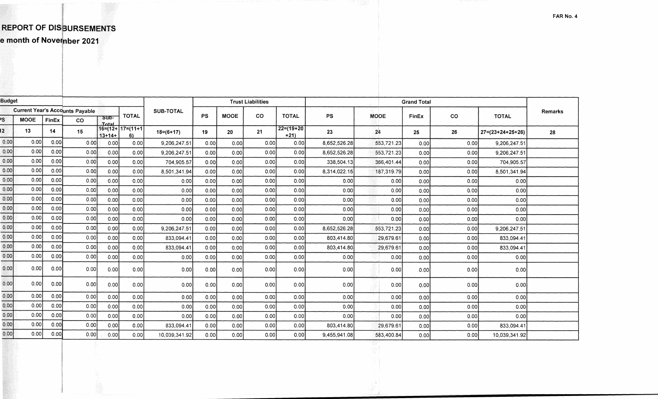## **REPORT OF DISBURSEMENTS e month of November 2021**

**FAR No. 4** 

| <b>Budget</b>                          |             |       |              |                  | <b>Trust Liabilities</b>   |                 |      |             | <b>Grand Total</b> |                       |              |             |       |         |                            |    |  |
|----------------------------------------|-------------|-------|--------------|------------------|----------------------------|-----------------|------|-------------|--------------------|-----------------------|--------------|-------------|-------|---------|----------------------------|----|--|
| <b>Current Year's Accounts Payable</b> |             |       | <b>TOTAL</b> | <b>SUB-TOTAL</b> |                            |                 |      |             |                    |                       |              |             |       | Remarks |                            |    |  |
| PS                                     | <b>MOOE</b> | FinEx | co           | Sub-<br>Total    |                            |                 | PS   | <b>MOOE</b> | <b>CO</b>          | <b>TOTAL</b>          | <b>PS</b>    | <b>MOOE</b> | FinEx | co      | <b>TOTAL</b>               |    |  |
| $\mathbf{2}$                           | 13          | 14    | 15           | $13+14+$         | $16=(12+17=(11+17))$<br>6) | $18 = (6 + 17)$ | 19   | 20          | 21                 | $22=(19+20)$<br>$+21$ | 23           | 24          | 25    | 26      | $27 = (23 + 24 + 25 + 26)$ | 28 |  |
| 0.00                                   | 0.00        | 0.00  | 0.00         | 0.00             | 0.00                       | 9,206,247.51    | 0.00 | 0.00        | 0.00               | 0.00                  | 8,652,526.28 | 553,721.23  | 0.00  | 0.00    | 9,206,247.51               |    |  |
| 0.00                                   | 0.00        | 0.00  | 0.00         | 0.00             | 0.00                       | 9,206,247.51    | 0.00 | 0.00        | 0.00               | 0.00                  | 8,652,526.28 | 553,721.23  | 0.00  | 0.00    | 9,206,247.51               |    |  |
| 0.00                                   | 0.00        | 0.00  | 0.00         | 0.00             | 0.00                       | 704,905.57      | 0.00 | 0.00        | 0.00               | 0.00l                 | 338,504.13   | 366,401.44  | 0.00  | 0.00    | 704,905.57                 |    |  |
| 0.00                                   | 0.00        | 0.00  | 0.00         | 0.00             | 0.00                       | 8,501,341.94    | 0.00 | 0.00        | 0.00               | 0.00                  | 8,314,022.15 | 187,319.79  | 0.00  | 0.00    | 8,501,341.94               |    |  |
| 0.00                                   | 0.00        | 0.00  | 0.00         | 0.00             | 0.00                       | 0.001           | 0.00 | 0.00        | 0.00               | 0.00                  | 0.00         | 0.00        | 0.00  | 0.00    | 0.00                       |    |  |
| 0.00                                   | 0.00        | 0.00  | 0.00         | 0.00             | 0.00                       | 0.00            | 0.00 | 0.00        | 0.00               | 0.00                  | 0.00         | 0.00        | 0.00  | 0.00    | 0.00                       |    |  |
| 0.00                                   | 0.00        | 0.00  | 0.00         | 0.00             | 0.00                       | 0.00            | 0.00 | 0.00        | 0.00               | 0.001                 | 0.00         | 0.00        | 0.00  | 0.00    | 0.00                       |    |  |
| 0.00                                   | 0.00        | 0.00  | 0.00         | 0.00             | 0.00                       | 0.00            | 0.00 | 0.00        | 0.00               | 0.00                  | 0.00         | 0.00        | 0.00  | 0.00    | 0.00                       |    |  |
| 0.00                                   | 0.00        | 0.00  | 0.00         | 0.00             | 0.00                       | 0.00            | 0.00 | 0.00        | 0.00               | 0.00                  | 0.00         | 0.00        | 0.00  | 0.00    | 0.00                       |    |  |
| 0.00                                   | 0.00        | 0.00  | 0.00         | 0.00             | 0.00                       | 9,206,247.51    | 0.00 | 0.00        | 0.00               | 0.00                  | 8,652,526.28 | 553,721.23  | 0.00  | 0.00    | 9,206,247.51               |    |  |
| 0,00                                   | 0.00        | 0.00  | 0.00         | 0.00             | 0.00                       | 833,094.41      | 0.00 | 0.00        | 0.00               | 0.00                  | 803.414.80   | 29,679.61   | 0.00  | 0.00    | 833,094.41                 |    |  |
| 0.00                                   | 0.00        | 0.00  | 0.00         | 0.00             | 0.00                       | 833,094.41      | 0.00 | 0.00        | 0.00               | 0.00                  | 803,414.80   | 29,679.61   | 0.00  | 0.00    | 833,094.41                 |    |  |
| 0.00                                   | 0.00        | 0.00  | 0.00         | 0.00             | 0.00                       | 0.00            | 0.00 | 0.00        | 0.00               | 0.00                  | 0.00         | 0.00        | 0.00  | 0.00    | 0.00                       |    |  |
| 0.00                                   | 0.00        | 0.00  | 0.00         | 0.00             | 0.00                       | 0.00            | 0.00 | 0.00        | 0.00               | 0.00                  | 0.00         | 0.00        | 0.00  | 0.00    | 0.00                       |    |  |
| 0.00                                   | 0.00        | 0.00  | 0.00         | 0.00             | 0.00                       | 0.00            | 0.00 | [0.00]      | 0.00               | 0.00                  | 0.00         | 0.00        | 0.00  | 0.00    | 0.00                       |    |  |
| 0.00                                   | 0.00        | 0.00  | 0.00         | 0.00             | 0.00                       | 0.00            | 0.00 | 0.00        | 0.00               | 0.00                  | 0.00         | 0.00        | 0.00  | 0.00    | 0.00                       |    |  |
| 0.00                                   | 0.00        | 0.00  | 0.00         | 0.00             | 0.00                       | 0.00            | 0.00 | 0.00        | 0.00               | 0.00                  | 0.00         | 0.00        | 0.00  | 0.00    | 0.00                       |    |  |
| 0.00                                   | 0.00        | 0.00  | 0.00         | 0.00             | 0.00                       | 0.00            | 0.00 | 0.00        | 0.00               | 0.00                  | 0.00         | 0.00        | 0.00  | 0.00    | 0.00                       |    |  |
| 0.00                                   | 0.00        | 0.00  | 0.00         | 0.00             | 0.00                       | 833,094.41      | 0.00 | 0.00        | 0.00               | 0.00                  | 803,414.80   | 29,679.61   | 0.00  | 0.00    | 833.094.41                 |    |  |
| 0.00                                   | 0.00        | 0.00  | 0.00         | 0.00             | 0.00                       | 10,039,341.92   | 0.00 | 0.00        | 0.001              | 0.00                  | 9,455,941.08 | 583,400.84  | 0.00  | 0.00    | 10,039,341.92              |    |  |
|                                        |             |       |              |                  |                            |                 |      |             |                    |                       |              |             |       |         |                            |    |  |